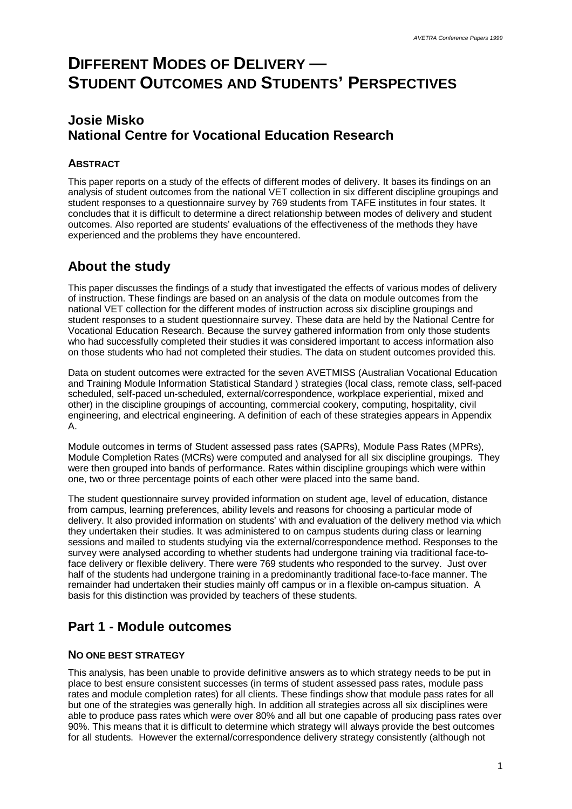# **DIFFERENT MODES OF DELIVERY — STUDENT OUTCOMES AND STUDENTS' PERSPECTIVES**

# **Josie Misko National Centre for Vocational Education Research**

### **ABSTRACT**

This paper reports on a study of the effects of different modes of delivery. It bases its findings on an analysis of student outcomes from the national VET collection in six different discipline groupings and student responses to a questionnaire survey by 769 students from TAFE institutes in four states. It concludes that it is difficult to determine a direct relationship between modes of delivery and student outcomes. Also reported are students' evaluations of the effectiveness of the methods they have experienced and the problems they have encountered.

# **About the study**

This paper discusses the findings of a study that investigated the effects of various modes of delivery of instruction. These findings are based on an analysis of the data on module outcomes from the national VET collection for the different modes of instruction across six discipline groupings and student responses to a student questionnaire survey. These data are held by the National Centre for Vocational Education Research. Because the survey gathered information from only those students who had successfully completed their studies it was considered important to access information also on those students who had not completed their studies. The data on student outcomes provided this.

Data on student outcomes were extracted for the seven AVETMISS (Australian Vocational Education and Training Module Information Statistical Standard ) strategies (local class, remote class, self-paced scheduled, self-paced un-scheduled, external/correspondence, workplace experiential, mixed and other) in the discipline groupings of accounting, commercial cookery, computing, hospitality, civil engineering, and electrical engineering. A definition of each of these strategies appears in Appendix A.

Module outcomes in terms of Student assessed pass rates (SAPRs), Module Pass Rates (MPRs), Module Completion Rates (MCRs) were computed and analysed for all six discipline groupings. They were then grouped into bands of performance. Rates within discipline groupings which were within one, two or three percentage points of each other were placed into the same band.

The student questionnaire survey provided information on student age, level of education, distance from campus, learning preferences, ability levels and reasons for choosing a particular mode of delivery. It also provided information on students' with and evaluation of the delivery method via which they undertaken their studies. It was administered to on campus students during class or learning sessions and mailed to students studying via the external/correspondence method. Responses to the survey were analysed according to whether students had undergone training via traditional face-toface delivery or flexible delivery. There were 769 students who responded to the survey. Just over half of the students had undergone training in a predominantly traditional face-to-face manner. The remainder had undertaken their studies mainly off campus or in a flexible on-campus situation. A basis for this distinction was provided by teachers of these students.

# **Part 1 - Module outcomes**

### **NO ONE BEST STRATEGY**

This analysis, has been unable to provide definitive answers as to which strategy needs to be put in place to best ensure consistent successes (in terms of student assessed pass rates, module pass rates and module completion rates) for all clients. These findings show that module pass rates for all but one of the strategies was generally high. In addition all strategies across all six disciplines were able to produce pass rates which were over 80% and all but one capable of producing pass rates over 90%. This means that it is difficult to determine which strategy will always provide the best outcomes for all students. However the external/correspondence delivery strategy consistently (although not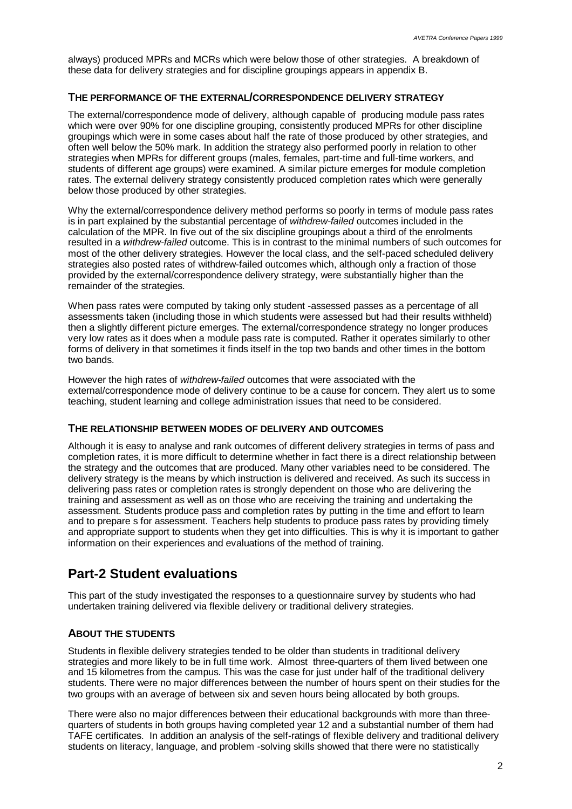always) produced MPRs and MCRs which were below those of other strategies. A breakdown of these data for delivery strategies and for discipline groupings appears in appendix B.

### **THE PERFORMANCE OF THE EXTERNAL/CORRESPONDENCE DELIVERY STRATEGY**

The external/correspondence mode of delivery, although capable of producing module pass rates which were over 90% for one discipline grouping, consistently produced MPRs for other discipline groupings which were in some cases about half the rate of those produced by other strategies, and often well below the 50% mark. In addition the strategy also performed poorly in relation to other strategies when MPRs for different groups (males, females, part-time and full-time workers, and students of different age groups) were examined. A similar picture emerges for module completion rates. The external delivery strategy consistently produced completion rates which were generally below those produced by other strategies.

Why the external/correspondence delivery method performs so poorly in terms of module pass rates is in part explained by the substantial percentage of *withdrew-failed* outcomes included in the calculation of the MPR. In five out of the six discipline groupings about a third of the enrolments resulted in a *withdrew-failed* outcome. This is in contrast to the minimal numbers of such outcomes for most of the other delivery strategies. However the local class, and the self-paced scheduled delivery strategies also posted rates of withdrew-failed outcomes which, although only a fraction of those provided by the external/correspondence delivery strategy, were substantially higher than the remainder of the strategies.

When pass rates were computed by taking only student -assessed passes as a percentage of all assessments taken (including those in which students were assessed but had their results withheld) then a slightly different picture emerges. The external/correspondence strategy no longer produces very low rates as it does when a module pass rate is computed. Rather it operates similarly to other forms of delivery in that sometimes it finds itself in the top two bands and other times in the bottom two bands.

However the high rates of *withdrew-failed* outcomes that were associated with the external/correspondence mode of delivery continue to be a cause for concern. They alert us to some teaching, student learning and college administration issues that need to be considered.

### **THE RELATIONSHIP BETWEEN MODES OF DELIVERY AND OUTCOMES**

Although it is easy to analyse and rank outcomes of different delivery strategies in terms of pass and completion rates, it is more difficult to determine whether in fact there is a direct relationship between the strategy and the outcomes that are produced. Many other variables need to be considered. The delivery strategy is the means by which instruction is delivered and received. As such its success in delivering pass rates or completion rates is strongly dependent on those who are delivering the training and assessment as well as on those who are receiving the training and undertaking the assessment. Students produce pass and completion rates by putting in the time and effort to learn and to prepare s for assessment. Teachers help students to produce pass rates by providing timely and appropriate support to students when they get into difficulties. This is why it is important to gather information on their experiences and evaluations of the method of training.

## **Part-2 Student evaluations**

This part of the study investigated the responses to a questionnaire survey by students who had undertaken training delivered via flexible delivery or traditional delivery strategies.

### **ABOUT THE STUDENTS**

Students in flexible delivery strategies tended to be older than students in traditional delivery strategies and more likely to be in full time work. Almost three-quarters of them lived between one and 15 kilometres from the campus. This was the case for just under half of the traditional delivery students. There were no major differences between the number of hours spent on their studies for the two groups with an average of between six and seven hours being allocated by both groups.

There were also no major differences between their educational backgrounds with more than threequarters of students in both groups having completed year 12 and a substantial number of them had TAFE certificates. In addition an analysis of the self-ratings of flexible delivery and traditional delivery students on literacy, language, and problem -solving skills showed that there were no statistically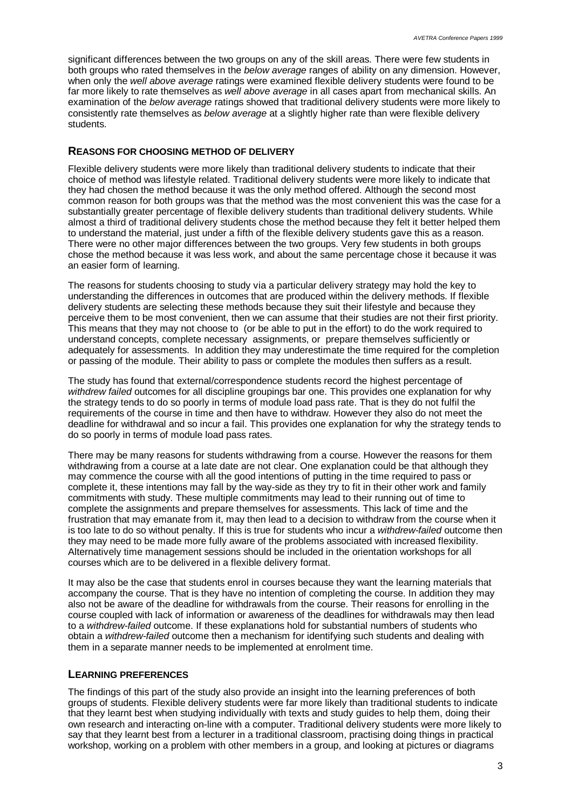significant differences between the two groups on any of the skill areas. There were few students in both groups who rated themselves in the *below average* ranges of ability on any dimension. However, when only the *well above average* ratings were examined flexible delivery students were found to be far more likely to rate themselves as *well above average* in all cases apart from mechanical skills. An examination of the *below average* ratings showed that traditional delivery students were more likely to consistently rate themselves as *below average* at a slightly higher rate than were flexible delivery students.

### **REASONS FOR CHOOSING METHOD OF DELIVERY**

Flexible delivery students were more likely than traditional delivery students to indicate that their choice of method was lifestyle related. Traditional delivery students were more likely to indicate that they had chosen the method because it was the only method offered. Although the second most common reason for both groups was that the method was the most convenient this was the case for a substantially greater percentage of flexible delivery students than traditional delivery students. While almost a third of traditional delivery students chose the method because they felt it better helped them to understand the material, just under a fifth of the flexible delivery students gave this as a reason. There were no other major differences between the two groups. Very few students in both groups chose the method because it was less work, and about the same percentage chose it because it was an easier form of learning.

The reasons for students choosing to study via a particular delivery strategy may hold the key to understanding the differences in outcomes that are produced within the delivery methods. If flexible delivery students are selecting these methods because they suit their lifestyle and because they perceive them to be most convenient, then we can assume that their studies are not their first priority. This means that they may not choose to (or be able to put in the effort) to do the work required to understand concepts, complete necessary assignments, or prepare themselves sufficiently or adequately for assessments. In addition they may underestimate the time required for the completion or passing of the module. Their ability to pass or complete the modules then suffers as a result.

The study has found that external/correspondence students record the highest percentage of *withdrew failed* outcomes for all discipline groupings bar one. This provides one explanation for why the strategy tends to do so poorly in terms of module load pass rate. That is they do not fulfil the requirements of the course in time and then have to withdraw. However they also do not meet the deadline for withdrawal and so incur a fail. This provides one explanation for why the strategy tends to do so poorly in terms of module load pass rates.

There may be many reasons for students withdrawing from a course. However the reasons for them withdrawing from a course at a late date are not clear. One explanation could be that although they may commence the course with all the good intentions of putting in the time required to pass or complete it, these intentions may fall by the way-side as they try to fit in their other work and family commitments with study. These multiple commitments may lead to their running out of time to complete the assignments and prepare themselves for assessments. This lack of time and the frustration that may emanate from it, may then lead to a decision to withdraw from the course when it is too late to do so without penalty. If this is true for students who incur a *withdrew-failed* outcome then they may need to be made more fully aware of the problems associated with increased flexibility. Alternatively time management sessions should be included in the orientation workshops for all courses which are to be delivered in a flexible delivery format.

It may also be the case that students enrol in courses because they want the learning materials that accompany the course. That is they have no intention of completing the course. In addition they may also not be aware of the deadline for withdrawals from the course. Their reasons for enrolling in the course coupled with lack of information or awareness of the deadlines for withdrawals may then lead to a *withdrew-failed* outcome. If these explanations hold for substantial numbers of students who obtain a *withdrew-failed* outcome then a mechanism for identifying such students and dealing with them in a separate manner needs to be implemented at enrolment time.

### **LEARNING PREFERENCES**

The findings of this part of the study also provide an insight into the learning preferences of both groups of students. Flexible delivery students were far more likely than traditional students to indicate that they learnt best when studying individually with texts and study guides to help them, doing their own research and interacting on-line with a computer. Traditional delivery students were more likely to say that they learnt best from a lecturer in a traditional classroom, practising doing things in practical workshop, working on a problem with other members in a group, and looking at pictures or diagrams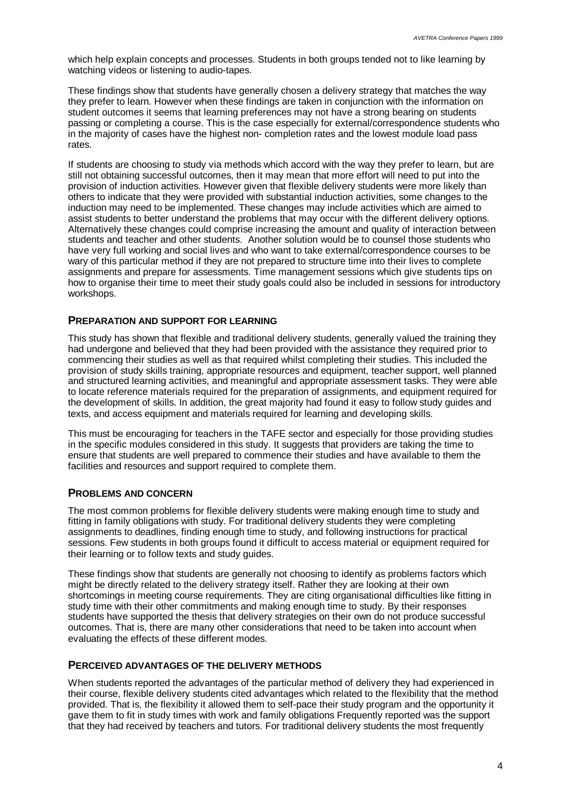which help explain concepts and processes. Students in both groups tended not to like learning by watching videos or listening to audio-tapes.

These findings show that students have generally chosen a delivery strategy that matches the way they prefer to learn. However when these findings are taken in conjunction with the information on student outcomes it seems that learning preferences may not have a strong bearing on students passing or completing a course. This is the case especially for external/correspondence students who in the majority of cases have the highest non- completion rates and the lowest module load pass rates.

If students are choosing to study via methods which accord with the way they prefer to learn, but are still not obtaining successful outcomes, then it may mean that more effort will need to put into the provision of induction activities. However given that flexible delivery students were more likely than others to indicate that they were provided with substantial induction activities, some changes to the induction may need to be implemented. These changes may include activities which are aimed to assist students to better understand the problems that may occur with the different delivery options. Alternatively these changes could comprise increasing the amount and quality of interaction between students and teacher and other students. Another solution would be to counsel those students who have very full working and social lives and who want to take external/correspondence courses to be wary of this particular method if they are not prepared to structure time into their lives to complete assignments and prepare for assessments. Time management sessions which give students tips on how to organise their time to meet their study goals could also be included in sessions for introductory workshops.

### **PREPARATION AND SUPPORT FOR LEARNING**

This study has shown that flexible and traditional delivery students, generally valued the training they had undergone and believed that they had been provided with the assistance they required prior to commencing their studies as well as that required whilst completing their studies. This included the provision of study skills training, appropriate resources and equipment, teacher support, well planned and structured learning activities, and meaningful and appropriate assessment tasks. They were able to locate reference materials required for the preparation of assignments, and equipment required for the development of skills. In addition, the great majority had found it easy to follow study guides and texts, and access equipment and materials required for learning and developing skills.

This must be encouraging for teachers in the TAFE sector and especially for those providing studies in the specific modules considered in this study. It suggests that providers are taking the time to ensure that students are well prepared to commence their studies and have available to them the facilities and resources and support required to complete them.

### **PROBLEMS AND CONCERN**

The most common problems for flexible delivery students were making enough time to study and fitting in family obligations with study. For traditional delivery students they were completing assignments to deadlines, finding enough time to study, and following instructions for practical sessions. Few students in both groups found it difficult to access material or equipment required for their learning or to follow texts and study guides.

These findings show that students are generally not choosing to identify as problems factors which might be directly related to the delivery strategy itself. Rather they are looking at their own shortcomings in meeting course requirements. They are citing organisational difficulties like fitting in study time with their other commitments and making enough time to study. By their responses students have supported the thesis that delivery strategies on their own do not produce successful outcomes. That is, there are many other considerations that need to be taken into account when evaluating the effects of these different modes.

#### **PERCEIVED ADVANTAGES OF THE DELIVERY METHODS**

When students reported the advantages of the particular method of delivery they had experienced in their course, flexible delivery students cited advantages which related to the flexibility that the method provided. That is, the flexibility it allowed them to self-pace their study program and the opportunity it gave them to fit in study times with work and family obligations Frequently reported was the support that they had received by teachers and tutors. For traditional delivery students the most frequently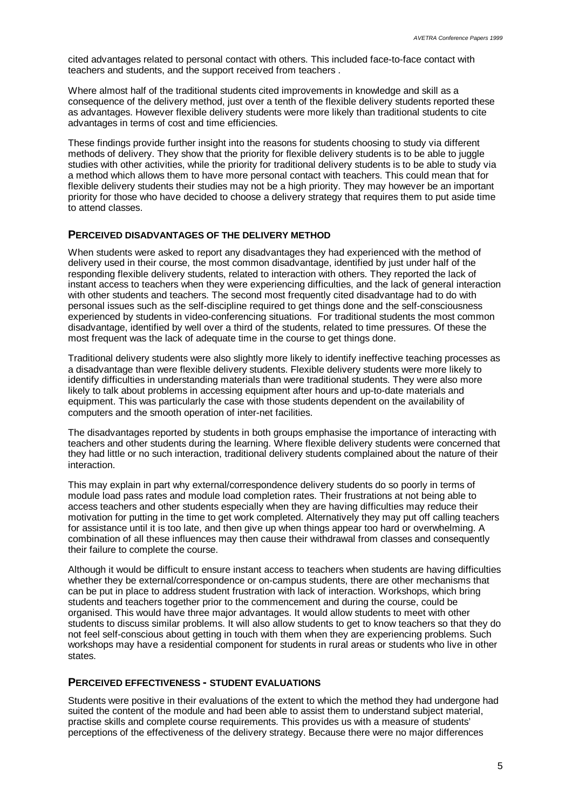cited advantages related to personal contact with others. This included face-to-face contact with teachers and students, and the support received from teachers .

Where almost half of the traditional students cited improvements in knowledge and skill as a consequence of the delivery method, just over a tenth of the flexible delivery students reported these as advantages. However flexible delivery students were more likely than traditional students to cite advantages in terms of cost and time efficiencies.

These findings provide further insight into the reasons for students choosing to study via different methods of delivery. They show that the priority for flexible delivery students is to be able to juggle studies with other activities, while the priority for traditional delivery students is to be able to study via a method which allows them to have more personal contact with teachers. This could mean that for flexible delivery students their studies may not be a high priority. They may however be an important priority for those who have decided to choose a delivery strategy that requires them to put aside time to attend classes.

### **PERCEIVED DISADVANTAGES OF THE DELIVERY METHOD**

When students were asked to report any disadvantages they had experienced with the method of delivery used in their course, the most common disadvantage, identified by just under half of the responding flexible delivery students, related to interaction with others. They reported the lack of instant access to teachers when they were experiencing difficulties, and the lack of general interaction with other students and teachers. The second most frequently cited disadvantage had to do with personal issues such as the self-discipline required to get things done and the self-consciousness experienced by students in video-conferencing situations. For traditional students the most common disadvantage, identified by well over a third of the students, related to time pressures. Of these the most frequent was the lack of adequate time in the course to get things done.

Traditional delivery students were also slightly more likely to identify ineffective teaching processes as a disadvantage than were flexible delivery students. Flexible delivery students were more likely to identify difficulties in understanding materials than were traditional students. They were also more likely to talk about problems in accessing equipment after hours and up-to-date materials and equipment. This was particularly the case with those students dependent on the availability of computers and the smooth operation of inter-net facilities.

The disadvantages reported by students in both groups emphasise the importance of interacting with teachers and other students during the learning. Where flexible delivery students were concerned that they had little or no such interaction, traditional delivery students complained about the nature of their interaction.

This may explain in part why external/correspondence delivery students do so poorly in terms of module load pass rates and module load completion rates. Their frustrations at not being able to access teachers and other students especially when they are having difficulties may reduce their motivation for putting in the time to get work completed. Alternatively they may put off calling teachers for assistance until it is too late, and then give up when things appear too hard or overwhelming. A combination of all these influences may then cause their withdrawal from classes and consequently their failure to complete the course.

Although it would be difficult to ensure instant access to teachers when students are having difficulties whether they be external/correspondence or on-campus students, there are other mechanisms that can be put in place to address student frustration with lack of interaction. Workshops, which bring students and teachers together prior to the commencement and during the course, could be organised. This would have three major advantages. It would allow students to meet with other students to discuss similar problems. It will also allow students to get to know teachers so that they do not feel self-conscious about getting in touch with them when they are experiencing problems. Such workshops may have a residential component for students in rural areas or students who live in other states.

#### **PERCEIVED EFFECTIVENESS - STUDENT EVALUATIONS**

Students were positive in their evaluations of the extent to which the method they had undergone had suited the content of the module and had been able to assist them to understand subject material, practise skills and complete course requirements. This provides us with a measure of students' perceptions of the effectiveness of the delivery strategy. Because there were no major differences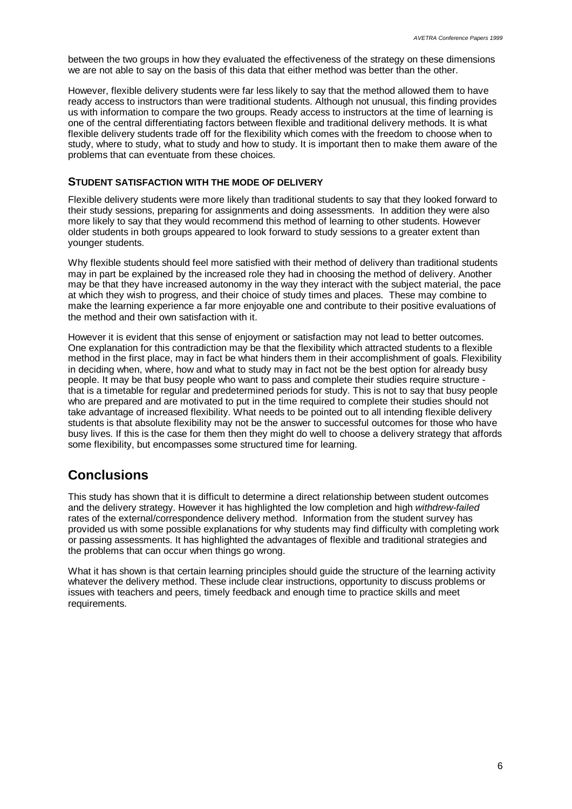between the two groups in how they evaluated the effectiveness of the strategy on these dimensions we are not able to say on the basis of this data that either method was better than the other.

However, flexible delivery students were far less likely to say that the method allowed them to have ready access to instructors than were traditional students. Although not unusual, this finding provides us with information to compare the two groups. Ready access to instructors at the time of learning is one of the central differentiating factors between flexible and traditional delivery methods. It is what flexible delivery students trade off for the flexibility which comes with the freedom to choose when to study, where to study, what to study and how to study. It is important then to make them aware of the problems that can eventuate from these choices.

#### **STUDENT SATISFACTION WITH THE MODE OF DELIVERY**

Flexible delivery students were more likely than traditional students to say that they looked forward to their study sessions, preparing for assignments and doing assessments. In addition they were also more likely to say that they would recommend this method of learning to other students. However older students in both groups appeared to look forward to study sessions to a greater extent than younger students.

Why flexible students should feel more satisfied with their method of delivery than traditional students may in part be explained by the increased role they had in choosing the method of delivery. Another may be that they have increased autonomy in the way they interact with the subject material, the pace at which they wish to progress, and their choice of study times and places. These may combine to make the learning experience a far more enjoyable one and contribute to their positive evaluations of the method and their own satisfaction with it.

However it is evident that this sense of enjoyment or satisfaction may not lead to better outcomes. One explanation for this contradiction may be that the flexibility which attracted students to a flexible method in the first place, may in fact be what hinders them in their accomplishment of goals. Flexibility in deciding when, where, how and what to study may in fact not be the best option for already busy people. It may be that busy people who want to pass and complete their studies require structure that is a timetable for regular and predetermined periods for study. This is not to say that busy people who are prepared and are motivated to put in the time required to complete their studies should not take advantage of increased flexibility. What needs to be pointed out to all intending flexible delivery students is that absolute flexibility may not be the answer to successful outcomes for those who have busy lives. If this is the case for them then they might do well to choose a delivery strategy that affords some flexibility, but encompasses some structured time for learning.

### **Conclusions**

This study has shown that it is difficult to determine a direct relationship between student outcomes and the delivery strategy. However it has highlighted the low completion and high *withdrew-failed* rates of the external/correspondence delivery method. Information from the student survey has provided us with some possible explanations for why students may find difficulty with completing work or passing assessments. It has highlighted the advantages of flexible and traditional strategies and the problems that can occur when things go wrong.

What it has shown is that certain learning principles should guide the structure of the learning activity whatever the delivery method. These include clear instructions, opportunity to discuss problems or issues with teachers and peers, timely feedback and enough time to practice skills and meet requirements.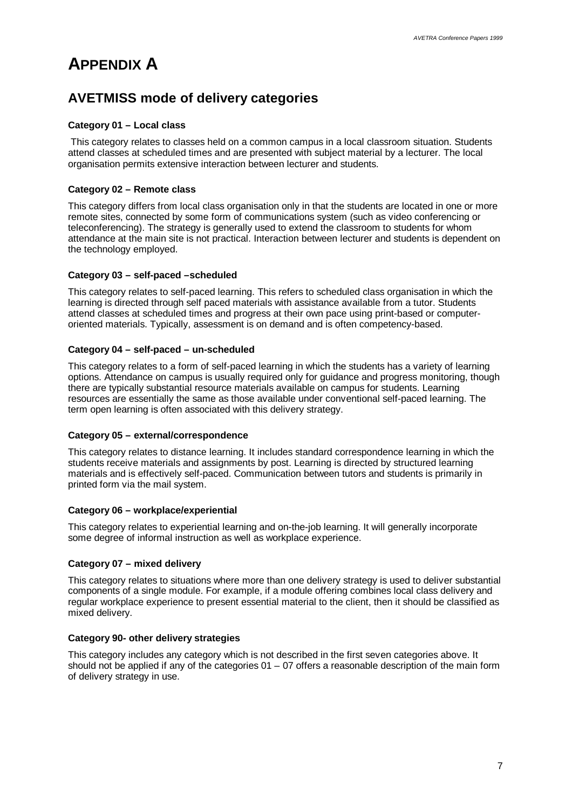# **APPENDIX A**

# **AVETMISS mode of delivery categories**

### **Category 01 – Local class**

 This category relates to classes held on a common campus in a local classroom situation. Students attend classes at scheduled times and are presented with subject material by a lecturer. The local organisation permits extensive interaction between lecturer and students.

### **Category 02 – Remote class**

This category differs from local class organisation only in that the students are located in one or more remote sites, connected by some form of communications system (such as video conferencing or teleconferencing). The strategy is generally used to extend the classroom to students for whom attendance at the main site is not practical. Interaction between lecturer and students is dependent on the technology employed.

### **Category 03 – self-paced –scheduled**

This category relates to self-paced learning. This refers to scheduled class organisation in which the learning is directed through self paced materials with assistance available from a tutor. Students attend classes at scheduled times and progress at their own pace using print-based or computeroriented materials. Typically, assessment is on demand and is often competency-based.

### **Category 04 – self-paced – un-scheduled**

This category relates to a form of self-paced learning in which the students has a variety of learning options. Attendance on campus is usually required only for guidance and progress monitoring, though there are typically substantial resource materials available on campus for students. Learning resources are essentially the same as those available under conventional self-paced learning. The term open learning is often associated with this delivery strategy.

### **Category 05 – external/correspondence**

This category relates to distance learning. It includes standard correspondence learning in which the students receive materials and assignments by post. Learning is directed by structured learning materials and is effectively self-paced. Communication between tutors and students is primarily in printed form via the mail system.

### **Category 06 – workplace/experiential**

This category relates to experiential learning and on-the-job learning. It will generally incorporate some degree of informal instruction as well as workplace experience.

### **Category 07 – mixed delivery**

This category relates to situations where more than one delivery strategy is used to deliver substantial components of a single module. For example, if a module offering combines local class delivery and regular workplace experience to present essential material to the client, then it should be classified as mixed delivery.

### **Category 90- other delivery strategies**

This category includes any category which is not described in the first seven categories above. It should not be applied if any of the categories  $01 - 07$  offers a reasonable description of the main form of delivery strategy in use.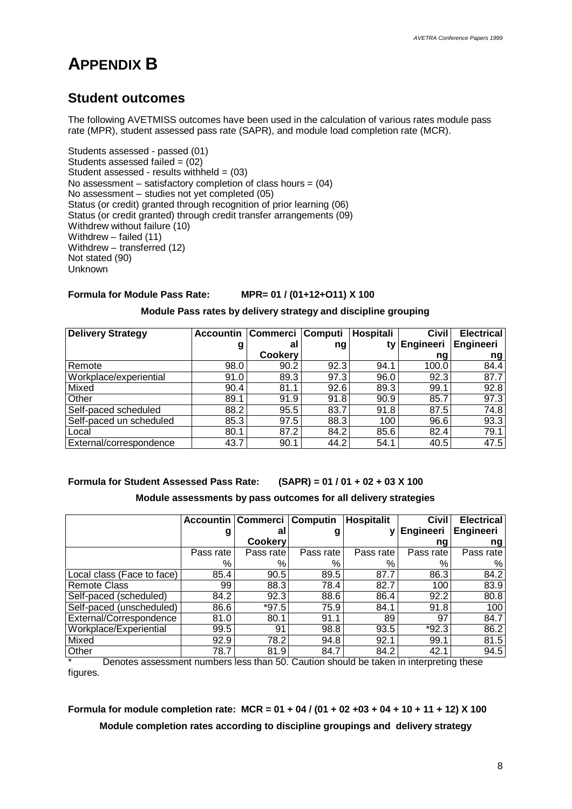# **APPENDIX B**

# **Student outcomes**

The following AVETMISS outcomes have been used in the calculation of various rates module pass rate (MPR), student assessed pass rate (SAPR), and module load completion rate (MCR).

Students assessed - passed (01) Students assessed failed  $= (02)$ Student assessed - results withheld  $= (03)$ No assessment – satisfactory completion of class hours =  $(04)$ No assessment – studies not yet completed (05) Status (or credit) granted through recognition of prior learning (06) Status (or credit granted) through credit transfer arrangements (09) Withdrew without failure (10) Withdrew – failed (11) Withdrew – transferred (12) Not stated (90) Unknown

### **Formula for Module Pass Rate: MPR= 01 / (01+12+O11) X 100**

### **Module Pass rates by delivery strategy and discipline grouping**

| <b>Delivery Strategy</b> | <b>Accountin</b> | Commerci Computi |      | Hospitali | <b>Civil</b> | <b>Electrical</b> |
|--------------------------|------------------|------------------|------|-----------|--------------|-------------------|
|                          | g                | al               | ng   | tv        | Engineeri    | Engineeri         |
|                          |                  | <b>Cookery</b>   |      |           | ng           | ng                |
| Remote                   | 98.0             | 90.2             | 92.3 | 94.1      | 100.0        | 84.4              |
| Workplace/experiential   | 91.0             | 89.3             | 97.3 | 96.0      | 92.3         | 87.7              |
| Mixed                    | 90.4             | 81.1             | 92.6 | 89.3      | 99.1         | 92.8              |
| Other                    | 89.1             | 91.9             | 91.8 | 90.9      | 85.7         | 97.3              |
| Self-paced scheduled     | 88.2             | 95.5             | 83.7 | 91.8      | 87.5         | 74.8              |
| Self-paced un scheduled  | 85.3             | 97.5             | 88.3 | 100       | 96.6         | 93.3              |
| Local                    | 80.1             | 87.2             | 84.2 | 85.6      | 82.4         | 79.1              |
| External/correspondence  | 43.7             | 90.1             | 44.2 | 54.1      | 40.5         | 47.5              |

**Formula for Student Assessed Pass Rate: (SAPR) = 01 / 01 + 02 + 03 X 100**

### **Module assessments by pass outcomes for all delivery strategies**

|                            |           | Accountin   Commerci   Computin |           | <b>Hospitalit</b> | <b>Civil</b> | <b>Electrical</b> |
|----------------------------|-----------|---------------------------------|-----------|-------------------|--------------|-------------------|
|                            | g         | al                              | g         |                   | Engineeri    | Engineeri         |
|                            |           | <b>Cookery</b>                  |           |                   | ng           | ng                |
|                            | Pass rate | Pass rate                       | Pass rate | Pass rate         | Pass rate    | Pass rate         |
|                            | %         | %                               | ℅         | %                 | %            | %                 |
| Local class (Face to face) | 85.4      | 90.5                            | 89.5      | 87.7              | 86.3         | 84.2              |
| <b>Remote Class</b>        | 99        | 88.3                            | 78.4      | 82.7              | 100          | 83.9              |
| Self-paced (scheduled)     | 84.2      | 92.3                            | 88.6      | 86.4              | 92.2         | 80.8              |
| Self-paced (unscheduled)   | 86.6      | $*97.5$                         | 75.9      | 84.1              | 91.8         | 100               |
| External/Correspondence    | 81.0      | 80.1                            | 91.1      | 89                | 97           | 84.7              |
| Workplace/Experiential     | 99.5      | 91                              | 98.8      | 93.5              | $*92.3$      | 86.2              |
| Mixed                      | 92.9      | 78.2                            | 94.8      | 92.1              | 99.1         | 81.5              |
| Other                      | 78.7      | 81.9                            | 84.7      | 84.2              | 42.1         | 94.5              |

Denotes assessment numbers less than 50. Caution should be taken in interpreting these figures.

## **Formula for module completion rate: MCR = 01 + 04 / (01 + 02 +03 + 04 + 10 + 11 + 12) X 100 Module completion rates according to discipline groupings and delivery strategy**